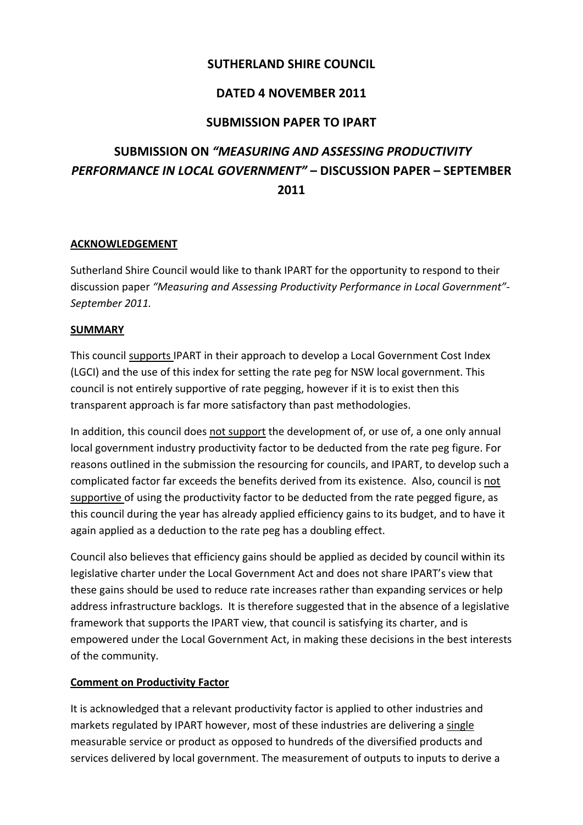# **SUTHERLAND SHIRE COUNCIL**

## **DATED 4 NOVEMBER 2011**

# **SUBMISSION PAPER TO IPART**

# **SUBMISSION ON** *"MEASURING AND ASSESSING PRODUCTIVITY PERFORMANCE IN LOCAL GOVERNMENT"* **– DISCUSSION PAPER – SEPTEMBER 2011**

#### **ACKNOWLEDGEMENT**

Sutherland Shire Council would like to thank IPART for the opportunity to respond to their discussion paper *"Measuring and Assessing Productivity Performance in Local Government"‐ September 2011.*

#### **SUMMARY**

This council supports IPART in their approach to develop a Local Government Cost Index (LGCI) and the use of this index for setting the rate peg for NSW local government. This council is not entirely supportive of rate pegging, however if it is to exist then this transparent approach is far more satisfactory than past methodologies.

In addition, this council does not support the development of, or use of, a one only annual local government industry productivity factor to be deducted from the rate peg figure. For reasons outlined in the submission the resourcing for councils, and IPART, to develop such a complicated factor far exceeds the benefits derived from its existence. Also, council is not supportive of using the productivity factor to be deducted from the rate pegged figure, as this council during the year has already applied efficiency gains to its budget, and to have it again applied as a deduction to the rate peg has a doubling effect.

Council also believes that efficiency gains should be applied as decided by council within its legislative charter under the Local Government Act and does not share IPART's view that these gains should be used to reduce rate increases rather than expanding services or help address infrastructure backlogs. It is therefore suggested that in the absence of a legislative framework that supports the IPART view, that council is satisfying its charter, and is empowered under the Local Government Act, in making these decisions in the best interests of the community.

#### **Comment on Productivity Factor**

It is acknowledged that a relevant productivity factor is applied to other industries and markets regulated by IPART however, most of these industries are delivering a single measurable service or product as opposed to hundreds of the diversified products and services delivered by local government. The measurement of outputs to inputs to derive a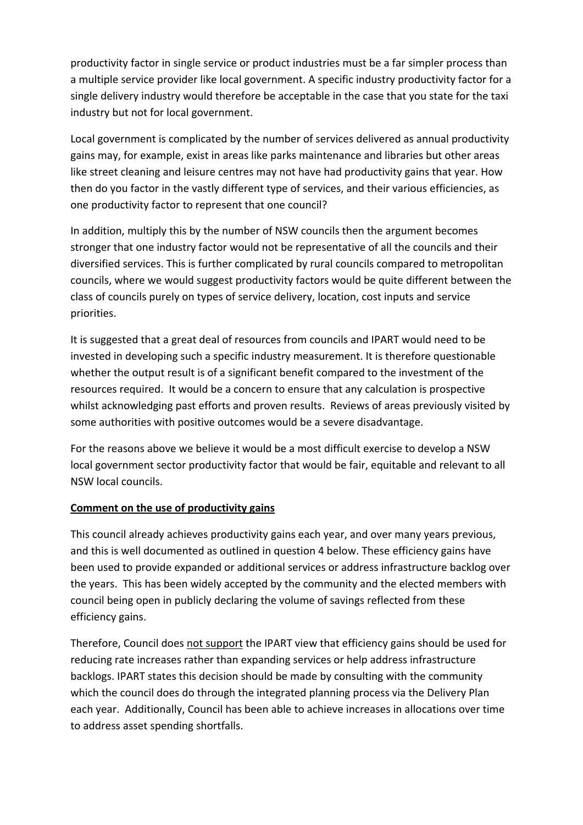productivity factor in single service or product industries must be a far simpler process than a multiple service provider like local government. A specific industry productivity factor for a single delivery industry would therefore be acceptable in the case that you state for the taxi industry but not for local government.

Local government is complicated by the number of services delivered as annual productivity gains may, for example, exist in areas like parks maintenance and libraries but other areas like street cleaning and leisure centres may not have had productivity gains that year. How then do you factor in the vastly different type of services, and their various efficiencies, as one productivity factor to represent that one council?

In addition, multiply this by the number of NSW councils then the argument becomes stronger that one industry factor would not be representative of all the councils and their diversified services. This is further complicated by rural councils compared to metropolitan councils, where we would suggest productivity factors would be quite different between the class of councils purely on types of service delivery, location, cost inputs and service priorities.

It is suggested that a great deal of resources from councils and IPART would need to be invested in developing such a specific industry measurement. It is therefore questionable whether the output result is of a significant benefit compared to the investment of the resources required. It would be a concern to ensure that any calculation is prospective whilst acknowledging past efforts and proven results. Reviews of areas previously visited by some authorities with positive outcomes would be a severe disadvantage.

For the reasons above we believe it would be a most difficult exercise to develop a NSW local government sector productivity factor that would be fair, equitable and relevant to all NSW local councils.

#### **Comment on the use of productivity gains**

This council already achieves productivity gains each year, and over many years previous, and this is well documented as outlined in question 4 below. These efficiency gains have been used to provide expanded or additional services or address infrastructure backlog over the years. This has been widely accepted by the community and the elected members with council being open in publicly declaring the volume of savings reflected from these efficiency gains.

Therefore, Council does not support the IPART view that efficiency gains should be used for reducing rate increases rather than expanding services or help address infrastructure backlogs. IPART states this decision should be made by consulting with the community which the council does do through the integrated planning process via the Delivery Plan each year. Additionally, Council has been able to achieve increases in allocations over time to address asset spending shortfalls.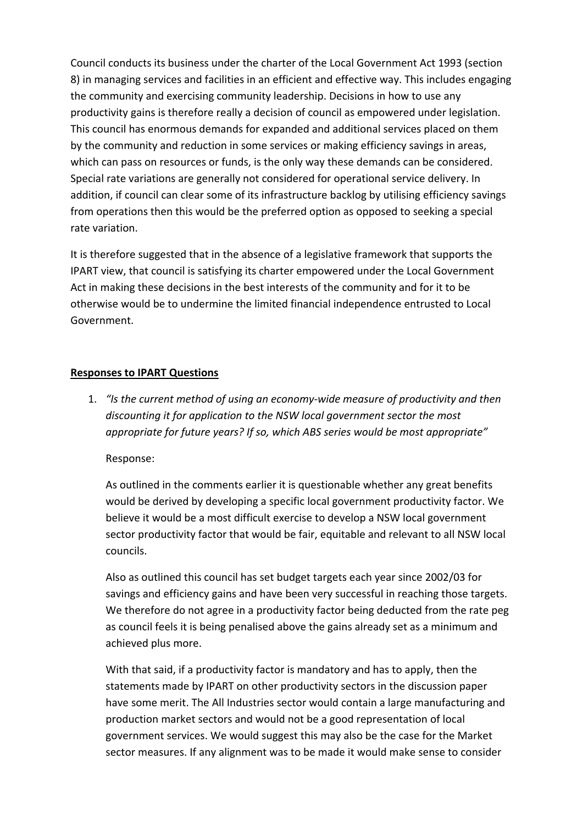Council conducts its business under the charter of the Local Government Act 1993 (section 8) in managing services and facilities in an efficient and effective way. This includes engaging the community and exercising community leadership. Decisions in how to use any productivity gains is therefore really a decision of council as empowered under legislation. This council has enormous demands for expanded and additional services placed on them by the community and reduction in some services or making efficiency savings in areas, which can pass on resources or funds, is the only way these demands can be considered. Special rate variations are generally not considered for operational service delivery. In addition, if council can clear some of its infrastructure backlog by utilising efficiency savings from operations then this would be the preferred option as opposed to seeking a special rate variation.

It is therefore suggested that in the absence of a legislative framework that supports the IPART view, that council is satisfying its charter empowered under the Local Government Act in making these decisions in the best interests of the community and for it to be otherwise would be to undermine the limited financial independence entrusted to Local Government.

#### **Responses to IPART Questions**

1. *"Is the current method of using an economy‐wide measure of productivity and then discounting it for application to the NSW local government sector the most appropriate for future years? If so, which ABS series would be most appropriate"*

Response:

As outlined in the comments earlier it is questionable whether any great benefits would be derived by developing a specific local government productivity factor. We believe it would be a most difficult exercise to develop a NSW local government sector productivity factor that would be fair, equitable and relevant to all NSW local councils.

Also as outlined this council has set budget targets each year since 2002/03 for savings and efficiency gains and have been very successful in reaching those targets. We therefore do not agree in a productivity factor being deducted from the rate peg as council feels it is being penalised above the gains already set as a minimum and achieved plus more.

With that said, if a productivity factor is mandatory and has to apply, then the statements made by IPART on other productivity sectors in the discussion paper have some merit. The All Industries sector would contain a large manufacturing and production market sectors and would not be a good representation of local government services. We would suggest this may also be the case for the Market sector measures. If any alignment was to be made it would make sense to consider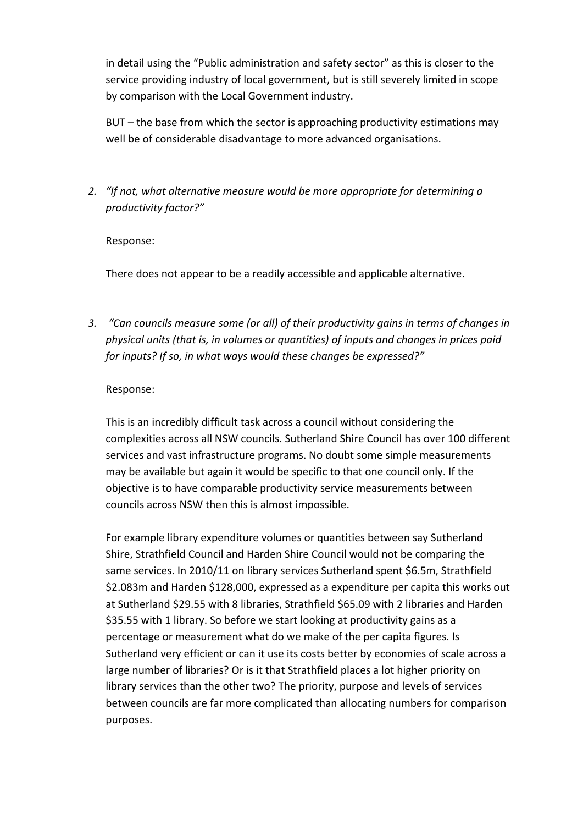in detail using the "Public administration and safety sector" as this is closer to the service providing industry of local government, but is still severely limited in scope by comparison with the Local Government industry.

BUT – the base from which the sector is approaching productivity estimations may well be of considerable disadvantage to more advanced organisations.

*2. "If not, what alternative measure would be more appropriate for determining a productivity factor?"*

#### Response:

There does not appear to be a readily accessible and applicable alternative.

*3. "Can councils measure some (or all) of their productivity gains in terms of changes in physical units (that is, in volumes or quantities) of inputs and changes in prices paid for inputs? If so, in what ways would these changes be expressed?"*

#### Response:

This is an incredibly difficult task across a council without considering the complexities across all NSW councils. Sutherland Shire Council has over 100 different services and vast infrastructure programs. No doubt some simple measurements may be available but again it would be specific to that one council only. If the objective is to have comparable productivity service measurements between councils across NSW then this is almost impossible.

For example library expenditure volumes or quantities between say Sutherland Shire, Strathfield Council and Harden Shire Council would not be comparing the same services. In 2010/11 on library services Sutherland spent \$6.5m, Strathfield \$2.083m and Harden \$128,000, expressed as a expenditure per capita this works out at Sutherland \$29.55 with 8 libraries, Strathfield \$65.09 with 2 libraries and Harden \$35.55 with 1 library. So before we start looking at productivity gains as a percentage or measurement what do we make of the per capita figures. Is Sutherland very efficient or can it use its costs better by economies of scale across a large number of libraries? Or is it that Strathfield places a lot higher priority on library services than the other two? The priority, purpose and levels of services between councils are far more complicated than allocating numbers for comparison purposes.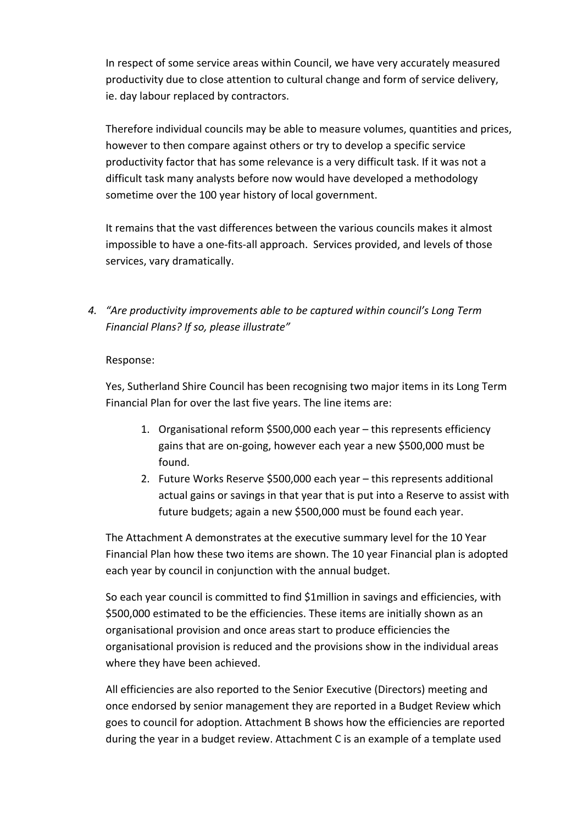In respect of some service areas within Council, we have very accurately measured productivity due to close attention to cultural change and form of service delivery, ie. day labour replaced by contractors.

Therefore individual councils may be able to measure volumes, quantities and prices, however to then compare against others or try to develop a specific service productivity factor that has some relevance is a very difficult task. If it was not a difficult task many analysts before now would have developed a methodology sometime over the 100 year history of local government.

It remains that the vast differences between the various councils makes it almost impossible to have a one-fits-all approach. Services provided, and levels of those services, vary dramatically.

*4. "Are productivity improvements able to be captured within council's Long Term Financial Plans? If so, please illustrate"*

#### Response:

Yes, Sutherland Shire Council has been recognising two major items in its Long Term Financial Plan for over the last five years. The line items are:

- 1. Organisational reform \$500,000 each year this represents efficiency gains that are on‐going, however each year a new \$500,000 must be found.
- 2. Future Works Reserve \$500,000 each year this represents additional actual gains or savings in that year that is put into a Reserve to assist with future budgets; again a new \$500,000 must be found each year.

The Attachment A demonstrates at the executive summary level for the 10 Year Financial Plan how these two items are shown. The 10 year Financial plan is adopted each year by council in conjunction with the annual budget.

So each year council is committed to find \$1million in savings and efficiencies, with \$500,000 estimated to be the efficiencies. These items are initially shown as an organisational provision and once areas start to produce efficiencies the organisational provision is reduced and the provisions show in the individual areas where they have been achieved.

All efficiencies are also reported to the Senior Executive (Directors) meeting and once endorsed by senior management they are reported in a Budget Review which goes to council for adoption. Attachment B shows how the efficiencies are reported during the year in a budget review. Attachment C is an example of a template used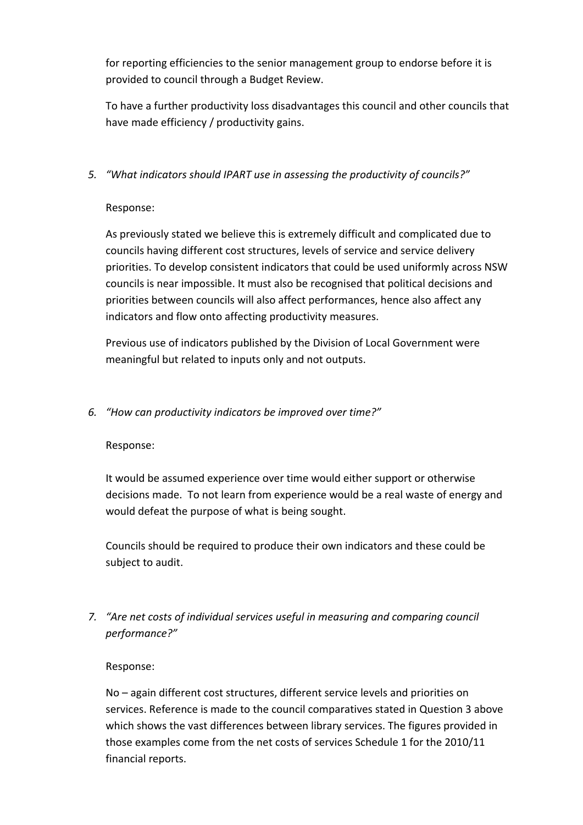for reporting efficiencies to the senior management group to endorse before it is provided to council through a Budget Review.

To have a further productivity loss disadvantages this council and other councils that have made efficiency / productivity gains.

#### *5. "What indicators should IPART use in assessing the productivity of councils?"*

#### Response:

As previously stated we believe this is extremely difficult and complicated due to councils having different cost structures, levels of service and service delivery priorities. To develop consistent indicators that could be used uniformly across NSW councils is near impossible. It must also be recognised that political decisions and priorities between councils will also affect performances, hence also affect any indicators and flow onto affecting productivity measures.

Previous use of indicators published by the Division of Local Government were meaningful but related to inputs only and not outputs.

#### *6. "How can productivity indicators be improved over time?"*

#### Response:

It would be assumed experience over time would either support or otherwise decisions made. To not learn from experience would be a real waste of energy and would defeat the purpose of what is being sought.

Councils should be required to produce their own indicators and these could be subject to audit.

# *7. "Are net costs of individual services useful in measuring and comparing council performance?"*

#### Response:

No – again different cost structures, different service levels and priorities on services. Reference is made to the council comparatives stated in Question 3 above which shows the vast differences between library services. The figures provided in those examples come from the net costs of services Schedule 1 for the 2010/11 financial reports.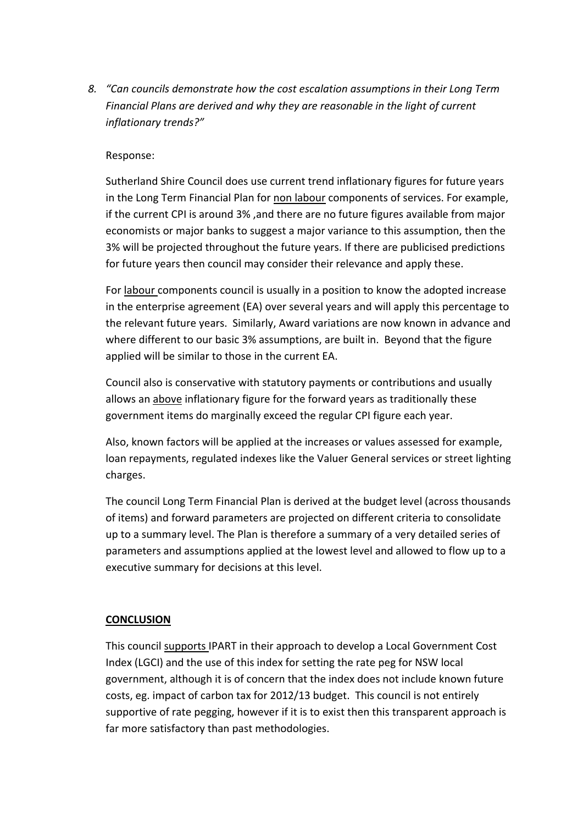*8. "Can councils demonstrate how the cost escalation assumptions in their Long Term Financial Plans are derived and why they are reasonable in the light of current inflationary trends?"*

#### Response:

Sutherland Shire Council does use current trend inflationary figures for future years in the Long Term Financial Plan for non labour components of services. For example, if the current CPI is around 3% ,and there are no future figures available from major economists or major banks to suggest a major variance to this assumption, then the 3% will be projected throughout the future years. If there are publicised predictions for future years then council may consider their relevance and apply these.

For labour components council is usually in a position to know the adopted increase in the enterprise agreement (EA) over several years and will apply this percentage to the relevant future years. Similarly, Award variations are now known in advance and where different to our basic 3% assumptions, are built in. Beyond that the figure applied will be similar to those in the current EA.

Council also is conservative with statutory payments or contributions and usually allows an above inflationary figure for the forward years as traditionally these government items do marginally exceed the regular CPI figure each year.

Also, known factors will be applied at the increases or values assessed for example, loan repayments, regulated indexes like the Valuer General services or street lighting charges.

The council Long Term Financial Plan is derived at the budget level (across thousands of items) and forward parameters are projected on different criteria to consolidate up to a summary level. The Plan is therefore a summary of a very detailed series of parameters and assumptions applied at the lowest level and allowed to flow up to a executive summary for decisions at this level.

#### **CONCLUSION**

This council supports IPART in their approach to develop a Local Government Cost Index (LGCI) and the use of this index for setting the rate peg for NSW local government, although it is of concern that the index does not include known future costs, eg. impact of carbon tax for 2012/13 budget. This council is not entirely supportive of rate pegging, however if it is to exist then this transparent approach is far more satisfactory than past methodologies.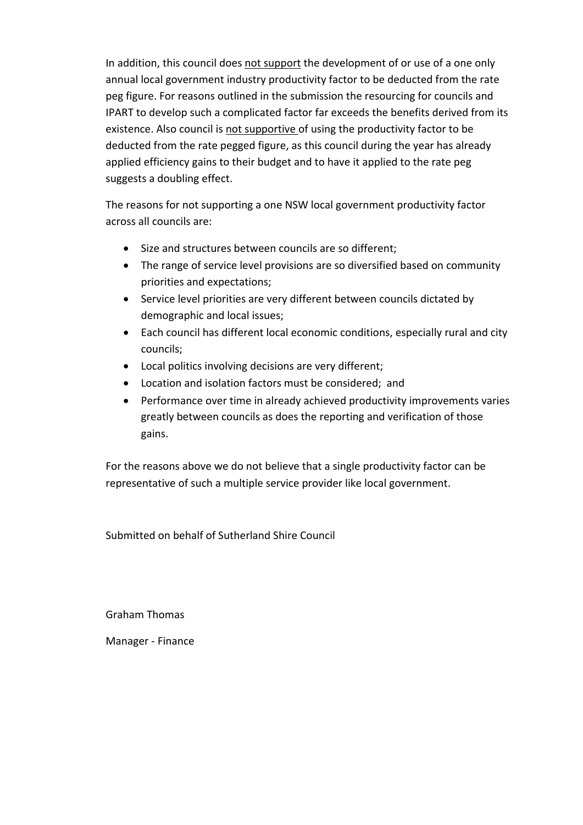In addition, this council does not support the development of or use of a one only annual local government industry productivity factor to be deducted from the rate peg figure. For reasons outlined in the submission the resourcing for councils and IPART to develop such a complicated factor far exceeds the benefits derived from its existence. Also council is not supportive of using the productivity factor to be deducted from the rate pegged figure, as this council during the year has already applied efficiency gains to their budget and to have it applied to the rate peg suggests a doubling effect.

The reasons for not supporting a one NSW local government productivity factor across all councils are:

- Size and structures between councils are so different;
- The range of service level provisions are so diversified based on community priorities and expectations;
- Service level priorities are very different between councils dictated by demographic and local issues;
- Each council has different local economic conditions, especially rural and city councils;
- Local politics involving decisions are very different;
- Location and isolation factors must be considered; and
- Performance over time in already achieved productivity improvements varies greatly between councils as does the reporting and verification of those gains.

For the reasons above we do not believe that a single productivity factor can be representative of such a multiple service provider like local government.

Submitted on behalf of Sutherland Shire Council

Graham Thomas

Manager ‐ Finance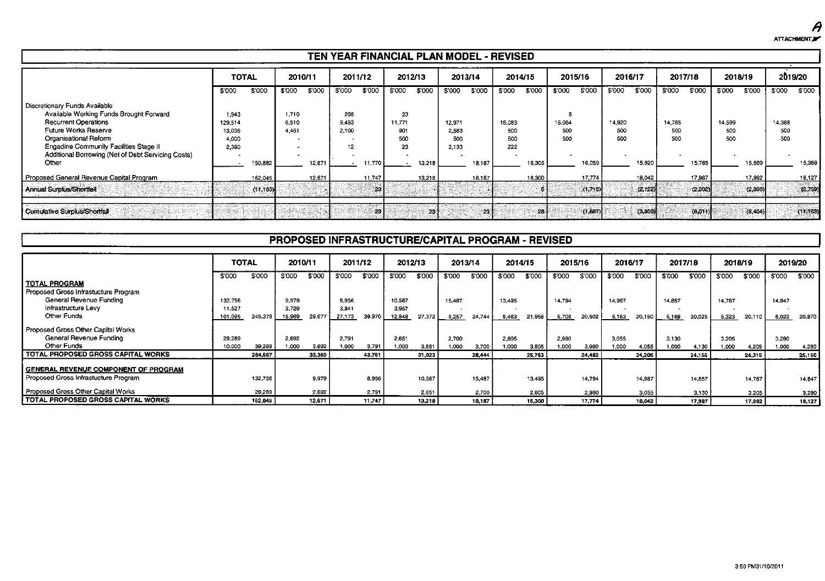$\boldsymbol{\theta}$ ATTACHMENT.

#### TEN YEAR FINANCIAL PLAN MODEL - REVISED

|                                                                                                                                                                                                                                                                 | <b>TOTAL</b>                                 |           | 2010/11                 |        | 2011/12                     |        | 2012/13                          |        | 2013/14                         |                 | 2014/15                     |        | 2015/16              |         | 2016/17              |          |                      | 2017/18  | 2018/19              |         | 2019/20              |           |
|-----------------------------------------------------------------------------------------------------------------------------------------------------------------------------------------------------------------------------------------------------------------|----------------------------------------------|-----------|-------------------------|--------|-----------------------------|--------|----------------------------------|--------|---------------------------------|-----------------|-----------------------------|--------|----------------------|---------|----------------------|----------|----------------------|----------|----------------------|---------|----------------------|-----------|
|                                                                                                                                                                                                                                                                 | \$'000                                       | \$'000    | \$'000                  | \$'000 | \$'000                      | \$'000 | \$'000                           | \$'000 | \$'000                          | \$'000          | \$'000                      | \$'000 | \$'000               | \$'000  | \$'000               | \$'000   | \$'000               | \$'000   | \$'000               | \$'000  | \$'000               | \$'000    |
| Discretionary Funds Available<br>Available Working Funds Brought Forward<br><b>Recurrent Operations</b><br>Future Works Reserve<br>Organisational Reform<br><b>Engadine Community Facilities Stage II</b><br>Additional Borrowing (Net of Debt Servicing Costs) | 1.943<br>129,514<br>13,035<br>4,000<br>2,390 |           | 1,710<br>6,510<br>4.451 |        | 205<br>9.453<br>2.100<br>12 |        | 23<br>11.771<br>901<br>500<br>23 |        | 12,971<br>2,583<br>500<br>2.133 |                 | 15,083<br>500<br>500<br>222 |        | 15,054<br>500<br>500 |         | 14.920<br>500<br>500 |          | 14.785<br>500<br>500 |          | 14,599<br>500<br>500 |         | 14,368<br>500<br>500 |           |
| Other                                                                                                                                                                                                                                                           |                                              | 150,882   |                         | 12,671 |                             | 11,770 |                                  | 13 218 |                                 | 18.187          |                             | 16,305 |                      | 16.059  |                      | 15.920   |                      | 15,785   |                      | 15 599  |                      | 15.368    |
| Proposed General Revenue Capital Program                                                                                                                                                                                                                        |                                              | 162,045   |                         | 12.671 |                             | 11.747 |                                  | 13.218 |                                 | 18,187          |                             | 16,300 |                      | 17,774  |                      | 18,042   |                      | 17,987   |                      | 17,992  |                      | 18.127    |
| Annual Surplus/Shortfall                                                                                                                                                                                                                                        |                                              | (11, 163) |                         |        |                             | - 231  |                                  |        |                                 |                 |                             |        |                      | (1.715) |                      | (2, 122) |                      | (2, 202) |                      | (2,393) |                      | (2.759)   |
| Cumulative Surplus/Shortfall                                                                                                                                                                                                                                    |                                              |           |                         |        |                             | -23    |                                  | -234   |                                 | 23 <sup>1</sup> |                             | 28     |                      | (1,687) |                      | (3.309)  |                      | (6,011)  |                      | (8,404) |                      | (11, 163) |

#### PROPOSED INFRASTRUCTURE/CAPITAL PROGRAM - REVISED

|                                           | <b>TOTAL</b> |         | 2010/11 |        | 2011/12 |        | 2012/13 |        | 2013/14 |        | 2014/15 |        | 2015/16 |         | 2016/17 |        | 2017/18 |        | 2018/19 |        | 2019/20 |        |
|-------------------------------------------|--------------|---------|---------|--------|---------|--------|---------|--------|---------|--------|---------|--------|---------|---------|---------|--------|---------|--------|---------|--------|---------|--------|
|                                           | \$'000       | \$'000  | \$'000  | \$'000 | \$'000  | \$'000 | \$'000  | \$'000 | \$'000  | \$'000 | \$'000  | \$'000 | \$'000  | \$'000  | \$'000  | \$'000 | \$'000  | \$'000 | \$'000  | \$'000 | \$'000  | \$'000 |
| I TOTAL PROGRAM                           |              |         |         |        |         |        |         |        |         |        |         |        |         |         |         |        |         |        |         |        |         |        |
| Proposed Gross Infrastucture Program      |              |         |         |        |         |        |         |        |         |        |         |        |         |         |         |        |         |        |         |        |         |        |
| General Revenue Funding                   | 132.756      |         | 9.979   |        | 8.956   |        | 10.567  |        | 15.487  |        | 13,495  |        | 14,794  |         | 14.987  |        | 14,857  |        | 14.787  |        | 14.847  |        |
| Infrastructure Levy                       | 11.527       |         | 3.729   |        | 3.341   |        | 3.957   |        |         |        |         |        |         |         |         |        |         |        |         |        |         |        |
| Other Funds                               | 101,095      | 245,378 | 15,969  | 29,677 | 27.173  | 39.970 | 12,348  | 27,372 | 9,257   | 24,744 | 8,463   | 21,958 | 5,708   | 20,502  | 5.163   | 20,150 | 5,168   | 20,025 | 5,323   | 20,110 | 6,023   | 20,870 |
| Proposed Gross Other Capital Works        |              |         |         |        |         |        |         |        |         |        |         |        |         |         |         |        |         |        |         |        |         |        |
| General Revenue Funding                   | 29.289       |         | 2.692   |        | 2.791   |        | 2.651   |        | 2.700   |        | 2.805   |        | 2,980   |         | 3.055   |        | 3.130   |        | 3.205   |        | 3,280   |        |
| Other Funds                               | 10,000       | 39,289  | 1.000   | 3.692  | 1.000   | 3,791  | 1.000   | 3,651  | 1.000   | 3.700  | 1.000   | 3.805  | 1.000   | 3,980   | 1,000   | 4.055  | 1.000   | 4.130  | 000.1   | 4,205  | 1.000   | 4,280  |
| <b>TOTAL PROPOSED GROSS CAPITAL WORKS</b> |              | 284,667 |         | 33.369 |         | 43.761 |         | 31,023 |         | 28,444 |         | 25,763 |         | 24, 182 |         | 24,205 |         | 24,155 |         | 24,315 |         | 25,150 |
| GENERAL REVENUE COMPONENT OF PROGRAM      |              |         |         |        |         |        |         |        |         |        |         |        |         |         |         |        |         |        |         |        |         |        |
| Proposed Gross Infrastucture Program      |              |         |         |        |         |        |         |        |         |        |         |        |         |         |         |        |         |        |         |        |         |        |
|                                           |              | 132,756 |         | 9.979  |         | 8.956  |         | 10,567 |         | 15,487 |         | 13,495 |         | 14,794  |         | 14,987 |         | 14.857 |         | 14,787 |         | 14,847 |
| Proposed Gross Other Capital Works        |              | 29.289  |         | 2.692  |         | 2.791  |         | 2.651  |         | 2.700  |         | 2.805  |         | 2.980   |         | 3,055  |         | 3.130  |         | 3.205  |         | 3,280  |
| I TOTAL PROPOSED GROSS CAPITAL WORKS      |              | 162,045 |         | 12.671 |         | 11.747 |         | 13,218 |         | 18.187 |         | 16,300 |         | 17.774  |         | 18,042 |         | 17,987 |         | 17,992 |         | 18,127 |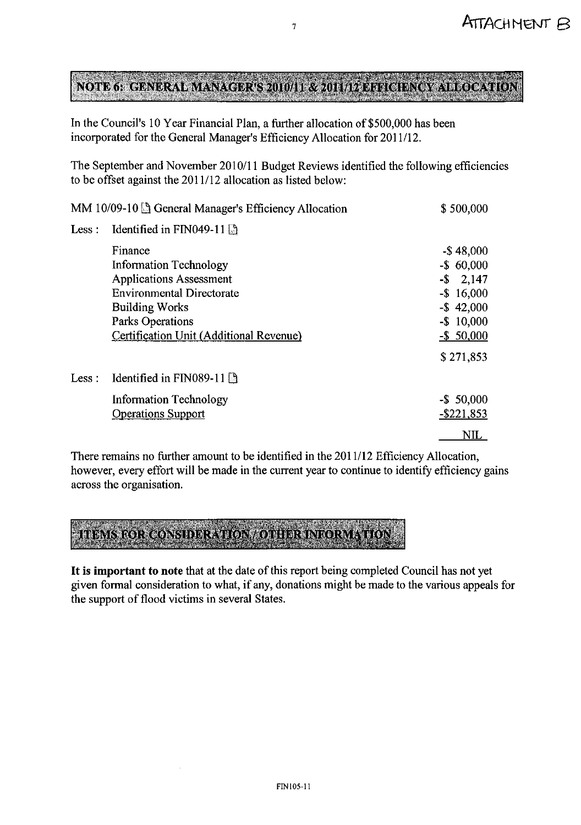# NOTE OF GENERAL MANAGERIS 2010/11-32-2011/19-19 TO TENGY ALLOCATION

 $\overline{7}$ 

In the Council's 10 Year Financial Plan, a further allocation of \$500,000 has been incorporated for the General Manager's Efficiency Allocation for 2011/12.

The September and November 2010/11 Budget Reviews identified the following efficiencies to be offset against the 2011/12 allocation as listed below:

|        | MM $10/09-10$ $\odot$ General Manager's Efficiency Allocation                                                                           | \$500,000                                                                      |
|--------|-----------------------------------------------------------------------------------------------------------------------------------------|--------------------------------------------------------------------------------|
| Less : | Identified in FIN049-11                                                                                                                 |                                                                                |
|        | Finance<br><b>Information Technology</b><br><b>Applications Assessment</b><br><b>Environmental Directorate</b><br><b>Building Works</b> | $-$ \$48,000<br>$-$ \$ 60,000<br>$-$ \$ 2,147<br>$-$ \$ 16,000<br>$-$ \$42,000 |
|        | Parks Operations<br>Certification Unit (Additional Revenue)                                                                             | $-$ \$ 10,000<br>$-$ \$ 50,000<br>\$271,853                                    |
| Less : | Identified in FIN089-11                                                                                                                 |                                                                                |
|        | <b>Information Technology</b><br><b>Operations Support</b>                                                                              | $-$ \$ 50,000<br>$-$ \$221,853                                                 |
|        |                                                                                                                                         | <b>NIL</b>                                                                     |

There remains no further amount to be identified in the 2011/12 Efficiency Allocation, however, every effort will be made in the current year to continue to identify efficiency gains across the organisation.



It is important to note that at the date of this report being completed Council has not yet given formal consideration to what, if any, donations might be made to the various appeals for the support of flood victims in several States.